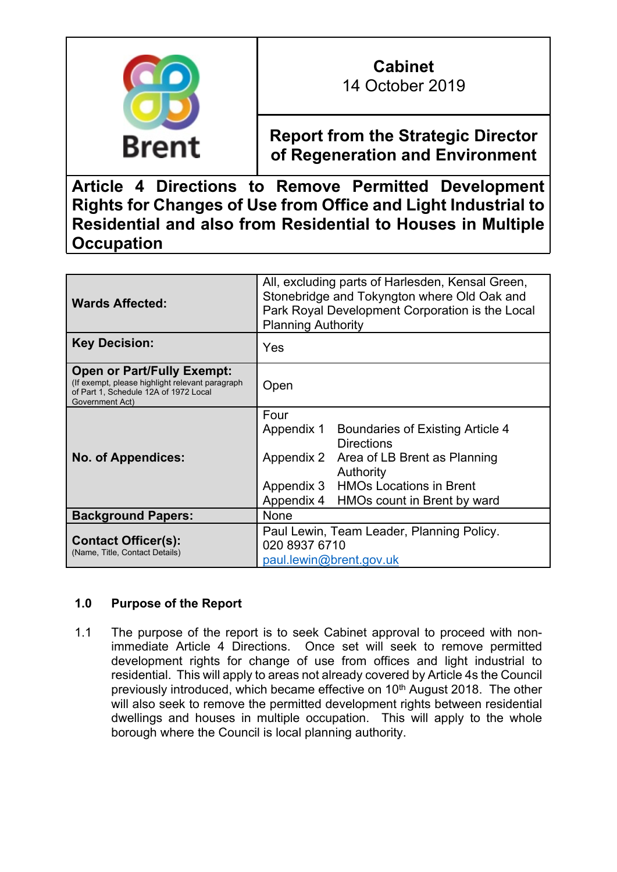

# **Cabinet**

14 October 2019

**Report from the Strategic Director of Regeneration and Environment**

**Article 4 Directions to Remove Permitted Development Rights for Changes of Use from Office and Light Industrial to Residential and also from Residential to Houses in Multiple Occupation**

| <b>Wards Affected:</b>                                                                                                                           | All, excluding parts of Harlesden, Kensal Green,<br>Stonebridge and Tokyngton where Old Oak and<br>Park Royal Development Corporation is the Local<br><b>Planning Authority</b>                                           |
|--------------------------------------------------------------------------------------------------------------------------------------------------|---------------------------------------------------------------------------------------------------------------------------------------------------------------------------------------------------------------------------|
| <b>Key Decision:</b>                                                                                                                             | Yes                                                                                                                                                                                                                       |
| <b>Open or Part/Fully Exempt:</b><br>(If exempt, please highlight relevant paragraph<br>of Part 1, Schedule 12A of 1972 Local<br>Government Act) | Open                                                                                                                                                                                                                      |
| <b>No. of Appendices:</b>                                                                                                                        | Four<br>Boundaries of Existing Article 4<br>Appendix 1<br><b>Directions</b><br>Appendix 2<br>Area of LB Brent as Planning<br>Authority<br>Appendix 3 HMOs Locations in Brent<br>HMOs count in Brent by ward<br>Appendix 4 |
| <b>Background Papers:</b>                                                                                                                        | <b>None</b>                                                                                                                                                                                                               |
| <b>Contact Officer(s):</b><br>(Name, Title, Contact Details)                                                                                     | Paul Lewin, Team Leader, Planning Policy.<br>020 8937 6710<br>paul.lewin@brent.gov.uk                                                                                                                                     |

# **1.0 Purpose of the Report**

1.1 The purpose of the report is to seek Cabinet approval to proceed with nonimmediate Article 4 Directions. Once set will seek to remove permitted development rights for change of use from offices and light industrial to residential. This will apply to areas not already covered by Article 4s the Council previously introduced, which became effective on 10<sup>th</sup> August 2018. The other will also seek to remove the permitted development rights between residential dwellings and houses in multiple occupation. This will apply to the whole borough where the Council is local planning authority.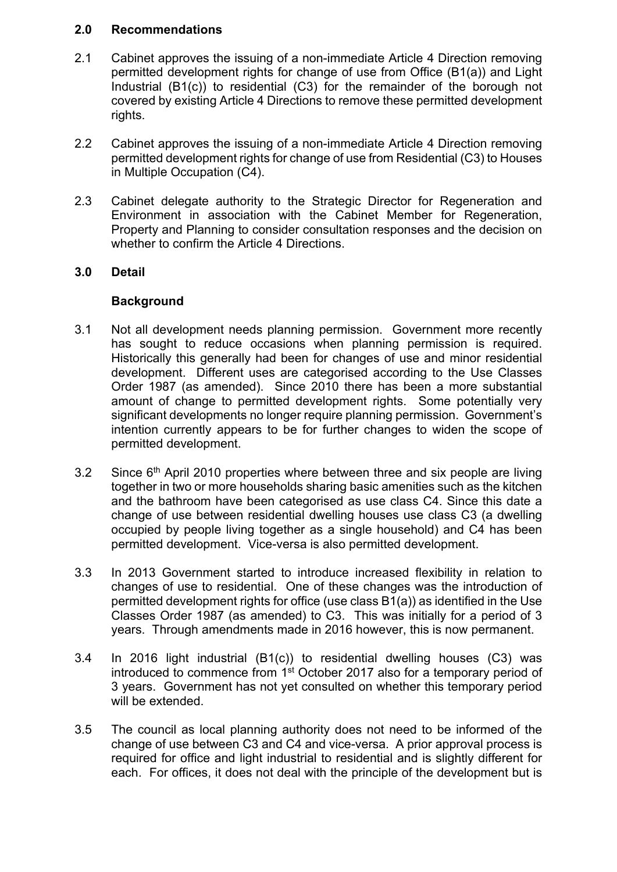### **2.0 Recommendations**

- 2.1 Cabinet approves the issuing of a non-immediate Article 4 Direction removing permitted development rights for change of use from Office (B1(a)) and Light Industrial (B1(c)) to residential (C3) for the remainder of the borough not covered by existing Article 4 Directions to remove these permitted development rights.
- 2.2 Cabinet approves the issuing of a non-immediate Article 4 Direction removing permitted development rights for change of use from Residential (C3) to Houses in Multiple Occupation (C4).
- 2.3 Cabinet delegate authority to the Strategic Director for Regeneration and Environment in association with the Cabinet Member for Regeneration, Property and Planning to consider consultation responses and the decision on whether to confirm the Article 4 Directions.

## **3.0 Detail**

#### **Background**

- 3.1 Not all development needs planning permission. Government more recently has sought to reduce occasions when planning permission is required. Historically this generally had been for changes of use and minor residential development. Different uses are categorised according to the Use Classes Order 1987 (as amended). Since 2010 there has been a more substantial amount of change to permitted development rights. Some potentially very significant developments no longer require planning permission. Government's intention currently appears to be for further changes to widen the scope of permitted development.
- 3.2 Since 6<sup>th</sup> April 2010 properties where between three and six people are living together in two or more households sharing basic amenities such as the kitchen and the bathroom have been categorised as use class C4. Since this date a change of use between residential dwelling houses use class C3 (a dwelling occupied by people living together as a single household) and C4 has been permitted development. Vice-versa is also permitted development.
- 3.3 In 2013 Government started to introduce increased flexibility in relation to changes of use to residential. One of these changes was the introduction of permitted development rights for office (use class B1(a)) as identified in the Use Classes Order 1987 (as amended) to C3. This was initially for a period of 3 years. Through amendments made in 2016 however, this is now permanent.
- 3.4 In 2016 light industrial (B1(c)) to residential dwelling houses (C3) was introduced to commence from 1<sup>st</sup> October 2017 also for a temporary period of 3 years. Government has not yet consulted on whether this temporary period will be extended.
- 3.5 The council as local planning authority does not need to be informed of the change of use between C3 and C4 and vice-versa. A prior approval process is required for office and light industrial to residential and is slightly different for each. For offices, it does not deal with the principle of the development but is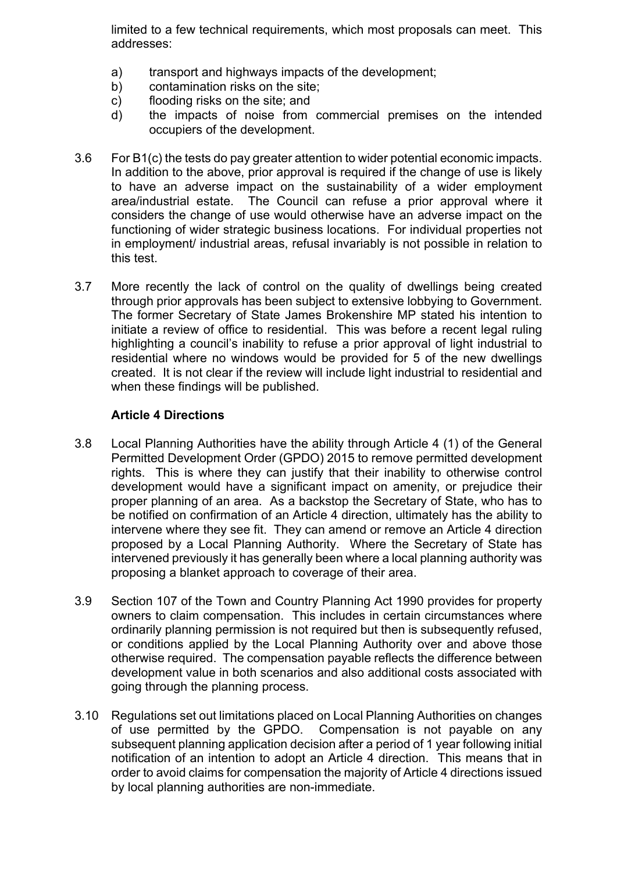limited to a few technical requirements, which most proposals can meet. This addresses:

- a) transport and highways impacts of the development;
- b) contamination risks on the site;
- c) flooding risks on the site; and
- d) the impacts of noise from commercial premises on the intended occupiers of the development.
- 3.6 For B1(c) the tests do pay greater attention to wider potential economic impacts. In addition to the above, prior approval is required if the change of use is likely to have an adverse impact on the sustainability of a wider employment area/industrial estate. The Council can refuse a prior approval where it considers the change of use would otherwise have an adverse impact on the functioning of wider strategic business locations. For individual properties not in employment/ industrial areas, refusal invariably is not possible in relation to this test.
- 3.7 More recently the lack of control on the quality of dwellings being created through prior approvals has been subject to extensive lobbying to Government. The former Secretary of State James Brokenshire MP stated his intention to initiate a review of office to residential. This was before a recent legal ruling highlighting a council's inability to refuse a prior approval of light industrial to residential where no windows would be provided for 5 of the new dwellings created. It is not clear if the review will include light industrial to residential and when these findings will be published.

# **Article 4 Directions**

- 3.8 Local Planning Authorities have the ability through Article 4 (1) of the General Permitted Development Order (GPDO) 2015 to remove permitted development rights. This is where they can justify that their inability to otherwise control development would have a significant impact on amenity, or prejudice their proper planning of an area. As a backstop the Secretary of State, who has to be notified on confirmation of an Article 4 direction, ultimately has the ability to intervene where they see fit. They can amend or remove an Article 4 direction proposed by a Local Planning Authority. Where the Secretary of State has intervened previously it has generally been where a local planning authority was proposing a blanket approach to coverage of their area.
- 3.9 Section 107 of the Town and Country Planning Act 1990 provides for property owners to claim compensation. This includes in certain circumstances where ordinarily planning permission is not required but then is subsequently refused. or conditions applied by the Local Planning Authority over and above those otherwise required. The compensation payable reflects the difference between development value in both scenarios and also additional costs associated with going through the planning process.
- 3.10 Regulations set out limitations placed on Local Planning Authorities on changes of use permitted by the GPDO. Compensation is not payable on any subsequent planning application decision after a period of 1 year following initial notification of an intention to adopt an Article 4 direction. This means that in order to avoid claims for compensation the majority of Article 4 directions issued by local planning authorities are non-immediate.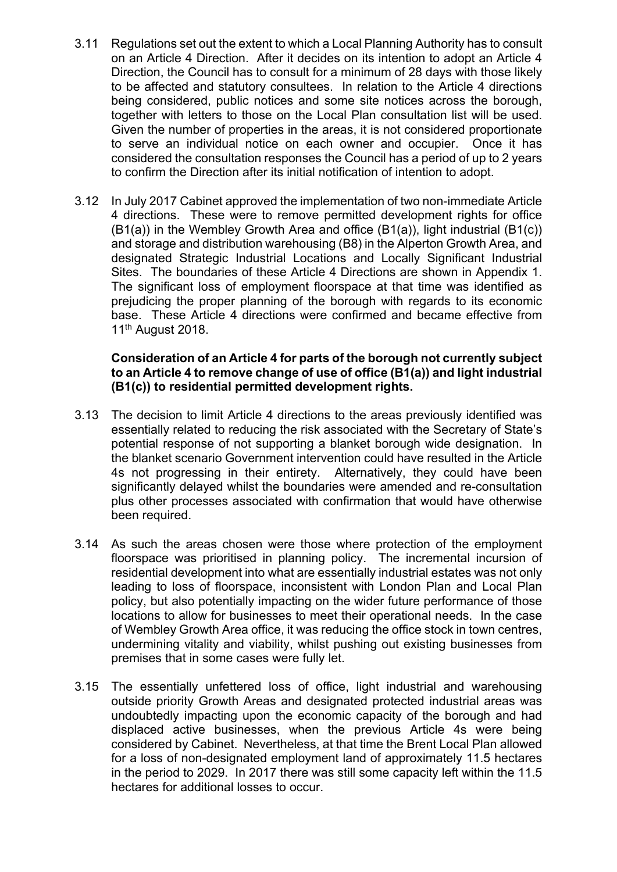- 3.11 Regulations set out the extent to which a Local Planning Authority has to consult on an Article 4 Direction. After it decides on its intention to adopt an Article 4 Direction, the Council has to consult for a minimum of 28 days with those likely to be affected and statutory consultees. In relation to the Article 4 directions being considered, public notices and some site notices across the borough, together with letters to those on the Local Plan consultation list will be used. Given the number of properties in the areas, it is not considered proportionate to serve an individual notice on each owner and occupier. Once it has considered the consultation responses the Council has a period of up to 2 years to confirm the Direction after its initial notification of intention to adopt.
- 3.12 In July 2017 Cabinet approved the implementation of two non-immediate Article 4 directions. These were to remove permitted development rights for office (B1(a)) in the Wembley Growth Area and office (B1(a)), light industrial (B1(c)) and storage and distribution warehousing (B8) in the Alperton Growth Area, and designated Strategic Industrial Locations and Locally Significant Industrial Sites. The boundaries of these Article 4 Directions are shown in Appendix 1. The significant loss of employment floorspace at that time was identified as prejudicing the proper planning of the borough with regards to its economic base. These Article 4 directions were confirmed and became effective from 11th August 2018.

#### **Consideration of an Article 4 for parts of the borough not currently subject to an Article 4 to remove change of use of office (B1(a)) and light industrial (B1(c)) to residential permitted development rights.**

- 3.13 The decision to limit Article 4 directions to the areas previously identified was essentially related to reducing the risk associated with the Secretary of State's potential response of not supporting a blanket borough wide designation. In the blanket scenario Government intervention could have resulted in the Article 4s not progressing in their entirety. Alternatively, they could have been significantly delayed whilst the boundaries were amended and re-consultation plus other processes associated with confirmation that would have otherwise been required.
- 3.14 As such the areas chosen were those where protection of the employment floorspace was prioritised in planning policy. The incremental incursion of residential development into what are essentially industrial estates was not only leading to loss of floorspace, inconsistent with London Plan and Local Plan policy, but also potentially impacting on the wider future performance of those locations to allow for businesses to meet their operational needs. In the case of Wembley Growth Area office, it was reducing the office stock in town centres, undermining vitality and viability, whilst pushing out existing businesses from premises that in some cases were fully let.
- 3.15 The essentially unfettered loss of office, light industrial and warehousing outside priority Growth Areas and designated protected industrial areas was undoubtedly impacting upon the economic capacity of the borough and had displaced active businesses, when the previous Article 4s were being considered by Cabinet. Nevertheless, at that time the Brent Local Plan allowed for a loss of non-designated employment land of approximately 11.5 hectares in the period to 2029. In 2017 there was still some capacity left within the 11.5 hectares for additional losses to occur.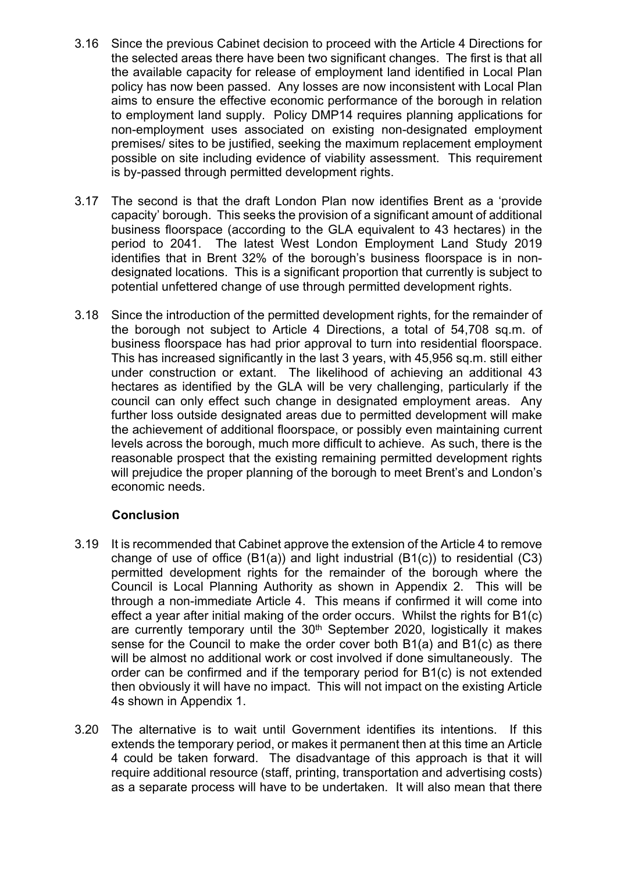- 3.16 Since the previous Cabinet decision to proceed with the Article 4 Directions for the selected areas there have been two significant changes. The first is that all the available capacity for release of employment land identified in Local Plan policy has now been passed. Any losses are now inconsistent with Local Plan aims to ensure the effective economic performance of the borough in relation to employment land supply. Policy DMP14 requires planning applications for non-employment uses associated on existing non-designated employment premises/ sites to be justified, seeking the maximum replacement employment possible on site including evidence of viability assessment. This requirement is by-passed through permitted development rights.
- 3.17 The second is that the draft London Plan now identifies Brent as a 'provide capacity' borough. This seeks the provision of a significant amount of additional business floorspace (according to the GLA equivalent to 43 hectares) in the period to 2041. The latest West London Employment Land Study 2019 identifies that in Brent 32% of the borough's business floorspace is in nondesignated locations. This is a significant proportion that currently is subject to potential unfettered change of use through permitted development rights.
- 3.18 Since the introduction of the permitted development rights, for the remainder of the borough not subject to Article 4 Directions, a total of 54,708 sq.m. of business floorspace has had prior approval to turn into residential floorspace. This has increased significantly in the last 3 years, with 45,956 sq.m. still either under construction or extant. The likelihood of achieving an additional 43 hectares as identified by the GLA will be very challenging, particularly if the council can only effect such change in designated employment areas. Any further loss outside designated areas due to permitted development will make the achievement of additional floorspace, or possibly even maintaining current levels across the borough, much more difficult to achieve. As such, there is the reasonable prospect that the existing remaining permitted development rights will prejudice the proper planning of the borough to meet Brent's and London's economic needs.

# **Conclusion**

- 3.19 It is recommended that Cabinet approve the extension of the Article 4 to remove change of use of office (B1(a)) and light industrial (B1(c)) to residential (C3) permitted development rights for the remainder of the borough where the Council is Local Planning Authority as shown in Appendix 2. This will be through a non-immediate Article 4. This means if confirmed it will come into effect a year after initial making of the order occurs. Whilst the rights for B1(c) are currently temporary until the 30<sup>th</sup> September 2020, logistically it makes sense for the Council to make the order cover both B1(a) and B1(c) as there will be almost no additional work or cost involved if done simultaneously. The order can be confirmed and if the temporary period for B1(c) is not extended then obviously it will have no impact. This will not impact on the existing Article 4s shown in Appendix 1.
- 3.20 The alternative is to wait until Government identifies its intentions. If this extends the temporary period, or makes it permanent then at this time an Article 4 could be taken forward. The disadvantage of this approach is that it will require additional resource (staff, printing, transportation and advertising costs) as a separate process will have to be undertaken. It will also mean that there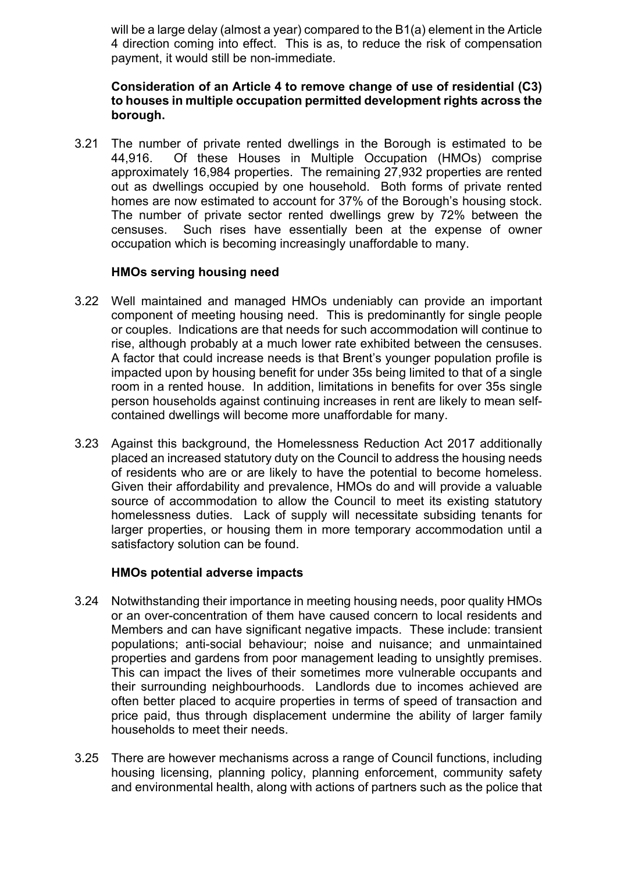will be a large delay (almost a year) compared to the B1(a) element in the Article 4 direction coming into effect. This is as, to reduce the risk of compensation payment, it would still be non-immediate.

#### **Consideration of an Article 4 to remove change of use of residential (C3) to houses in multiple occupation permitted development rights across the borough.**

3.21 The number of private rented dwellings in the Borough is estimated to be 44,916. Of these Houses in Multiple Occupation (HMOs) comprise approximately 16,984 properties. The remaining 27,932 properties are rented out as dwellings occupied by one household. Both forms of private rented homes are now estimated to account for 37% of the Borough's housing stock. The number of private sector rented dwellings grew by 72% between the censuses. Such rises have essentially been at the expense of owner occupation which is becoming increasingly unaffordable to many.

## **HMOs serving housing need**

- 3.22 Well maintained and managed HMOs undeniably can provide an important component of meeting housing need. This is predominantly for single people or couples. Indications are that needs for such accommodation will continue to rise, although probably at a much lower rate exhibited between the censuses. A factor that could increase needs is that Brent's younger population profile is impacted upon by housing benefit for under 35s being limited to that of a single room in a rented house. In addition, limitations in benefits for over 35s single person households against continuing increases in rent are likely to mean selfcontained dwellings will become more unaffordable for many.
- 3.23 Against this background, the Homelessness Reduction Act 2017 additionally placed an increased statutory duty on the Council to address the housing needs of residents who are or are likely to have the potential to become homeless. Given their affordability and prevalence, HMOs do and will provide a valuable source of accommodation to allow the Council to meet its existing statutory homelessness duties. Lack of supply will necessitate subsiding tenants for larger properties, or housing them in more temporary accommodation until a satisfactory solution can be found.

#### **HMOs potential adverse impacts**

- 3.24 Notwithstanding their importance in meeting housing needs, poor quality HMOs or an over-concentration of them have caused concern to local residents and Members and can have significant negative impacts. These include: transient populations; anti-social behaviour; noise and nuisance; and unmaintained properties and gardens from poor management leading to unsightly premises. This can impact the lives of their sometimes more vulnerable occupants and their surrounding neighbourhoods. Landlords due to incomes achieved are often better placed to acquire properties in terms of speed of transaction and price paid, thus through displacement undermine the ability of larger family households to meet their needs.
- 3.25 There are however mechanisms across a range of Council functions, including housing licensing, planning policy, planning enforcement, community safety and environmental health, along with actions of partners such as the police that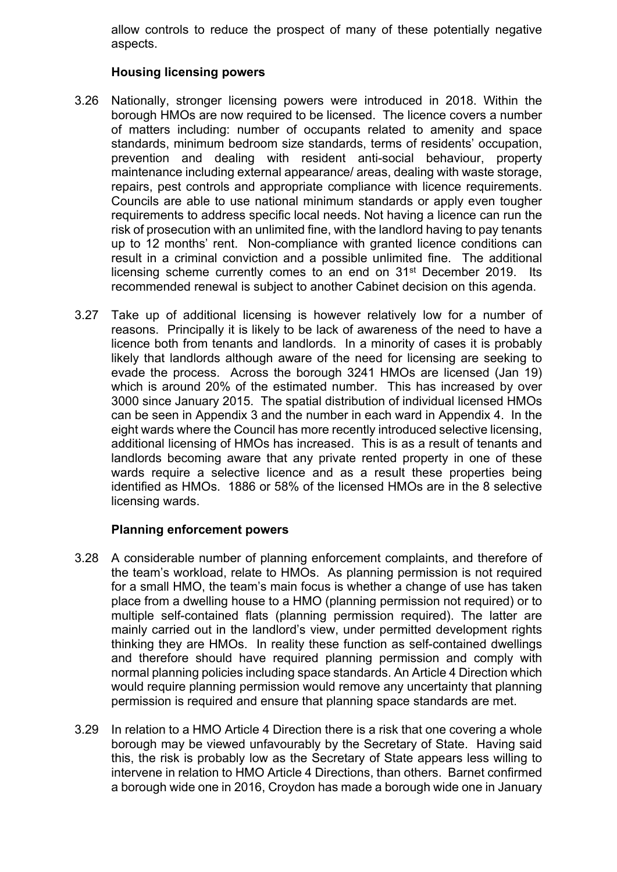allow controls to reduce the prospect of many of these potentially negative aspects.

## **Housing licensing powers**

- 3.26 Nationally, stronger licensing powers were introduced in 2018. Within the borough HMOs are now required to be licensed. The licence covers a number of matters including: number of occupants related to amenity and space standards, minimum bedroom size standards, terms of residents' occupation, prevention and dealing with resident anti-social behaviour, property maintenance including external appearance/ areas, dealing with waste storage, repairs, pest controls and appropriate compliance with licence requirements. Councils are able to use national minimum standards or apply even tougher requirements to address specific local needs. Not having a licence can run the risk of prosecution with an unlimited fine, with the landlord having to pay tenants up to 12 months' rent. Non-compliance with granted licence conditions can result in a criminal conviction and a possible unlimited fine. The additional licensing scheme currently comes to an end on 31st December 2019. Its recommended renewal is subject to another Cabinet decision on this agenda.
- 3.27 Take up of additional licensing is however relatively low for a number of reasons. Principally it is likely to be lack of awareness of the need to have a licence both from tenants and landlords. In a minority of cases it is probably likely that landlords although aware of the need for licensing are seeking to evade the process. Across the borough 3241 HMOs are licensed (Jan 19) which is around 20% of the estimated number. This has increased by over 3000 since January 2015. The spatial distribution of individual licensed HMOs can be seen in Appendix 3 and the number in each ward in Appendix 4. In the eight wards where the Council has more recently introduced selective licensing, additional licensing of HMOs has increased. This is as a result of tenants and landlords becoming aware that any private rented property in one of these wards require a selective licence and as a result these properties being identified as HMOs. 1886 or 58% of the licensed HMOs are in the 8 selective licensing wards.

#### **Planning enforcement powers**

- 3.28 A considerable number of planning enforcement complaints, and therefore of the team's workload, relate to HMOs. As planning permission is not required for a small HMO, the team's main focus is whether a change of use has taken place from a dwelling house to a HMO (planning permission not required) or to multiple self-contained flats (planning permission required). The latter are mainly carried out in the landlord's view, under permitted development rights thinking they are HMOs. In reality these function as self-contained dwellings and therefore should have required planning permission and comply with normal planning policies including space standards. An Article 4 Direction which would require planning permission would remove any uncertainty that planning permission is required and ensure that planning space standards are met.
- 3.29 In relation to a HMO Article 4 Direction there is a risk that one covering a whole borough may be viewed unfavourably by the Secretary of State. Having said this, the risk is probably low as the Secretary of State appears less willing to intervene in relation to HMO Article 4 Directions, than others. Barnet confirmed a borough wide one in 2016, Croydon has made a borough wide one in January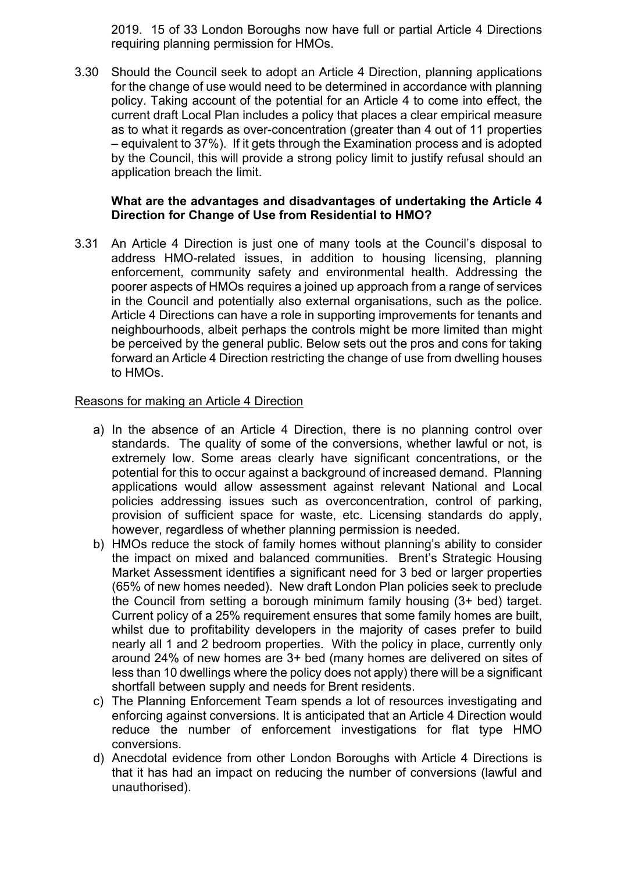2019. 15 of 33 London Boroughs now have full or partial Article 4 Directions requiring planning permission for HMOs.

3.30 Should the Council seek to adopt an Article 4 Direction, planning applications for the change of use would need to be determined in accordance with planning policy. Taking account of the potential for an Article 4 to come into effect, the current draft Local Plan includes a policy that places a clear empirical measure as to what it regards as over-concentration (greater than 4 out of 11 properties – equivalent to 37%). If it gets through the Examination process and is adopted by the Council, this will provide a strong policy limit to justify refusal should an application breach the limit.

## **What are the advantages and disadvantages of undertaking the Article 4 Direction for Change of Use from Residential to HMO?**

3.31 An Article 4 Direction is just one of many tools at the Council's disposal to address HMO-related issues, in addition to housing licensing, planning enforcement, community safety and environmental health. Addressing the poorer aspects of HMOs requires a joined up approach from a range of services in the Council and potentially also external organisations, such as the police. Article 4 Directions can have a role in supporting improvements for tenants and neighbourhoods, albeit perhaps the controls might be more limited than might be perceived by the general public. Below sets out the pros and cons for taking forward an Article 4 Direction restricting the change of use from dwelling houses to HMOs.

#### Reasons for making an Article 4 Direction

- a) In the absence of an Article 4 Direction, there is no planning control over standards. The quality of some of the conversions, whether lawful or not, is extremely low. Some areas clearly have significant concentrations, or the potential for this to occur against a background of increased demand. Planning applications would allow assessment against relevant National and Local policies addressing issues such as overconcentration, control of parking, provision of sufficient space for waste, etc. Licensing standards do apply, however, regardless of whether planning permission is needed.
- b) HMOs reduce the stock of family homes without planning's ability to consider the impact on mixed and balanced communities. Brent's Strategic Housing Market Assessment identifies a significant need for 3 bed or larger properties (65% of new homes needed). New draft London Plan policies seek to preclude the Council from setting a borough minimum family housing (3+ bed) target. Current policy of a 25% requirement ensures that some family homes are built, whilst due to profitability developers in the majority of cases prefer to build nearly all 1 and 2 bedroom properties. With the policy in place, currently only around 24% of new homes are 3+ bed (many homes are delivered on sites of less than 10 dwellings where the policy does not apply) there will be a significant shortfall between supply and needs for Brent residents.
- c) The Planning Enforcement Team spends a lot of resources investigating and enforcing against conversions. It is anticipated that an Article 4 Direction would reduce the number of enforcement investigations for flat type HMO conversions.
- d) Anecdotal evidence from other London Boroughs with Article 4 Directions is that it has had an impact on reducing the number of conversions (lawful and unauthorised).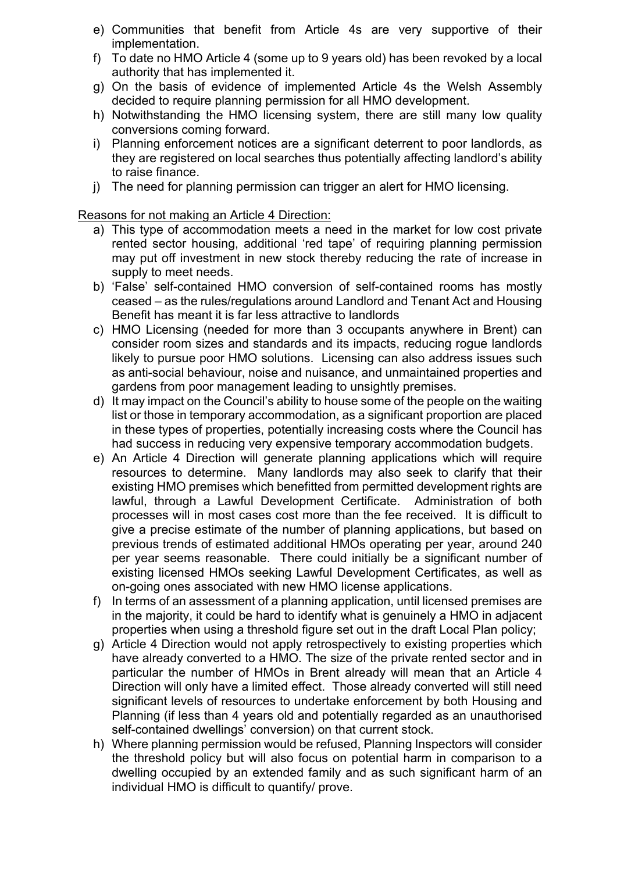- e) Communities that benefit from Article 4s are very supportive of their implementation.
- f) To date no HMO Article 4 (some up to 9 years old) has been revoked by a local authority that has implemented it.
- g) On the basis of evidence of implemented Article 4s the Welsh Assembly decided to require planning permission for all HMO development.
- h) Notwithstanding the HMO licensing system, there are still many low quality conversions coming forward.
- i) Planning enforcement notices are a significant deterrent to poor landlords, as they are registered on local searches thus potentially affecting landlord's ability to raise finance.
- j) The need for planning permission can trigger an alert for HMO licensing.

Reasons for not making an Article 4 Direction:

- a) This type of accommodation meets a need in the market for low cost private rented sector housing, additional 'red tape' of requiring planning permission may put off investment in new stock thereby reducing the rate of increase in supply to meet needs.
- b) 'False' self-contained HMO conversion of self-contained rooms has mostly ceased – as the rules/regulations around Landlord and Tenant Act and Housing Benefit has meant it is far less attractive to landlords
- c) HMO Licensing (needed for more than 3 occupants anywhere in Brent) can consider room sizes and standards and its impacts, reducing rogue landlords likely to pursue poor HMO solutions. Licensing can also address issues such as anti-social behaviour, noise and nuisance, and unmaintained properties and gardens from poor management leading to unsightly premises.
- d) It may impact on the Council's ability to house some of the people on the waiting list or those in temporary accommodation, as a significant proportion are placed in these types of properties, potentially increasing costs where the Council has had success in reducing very expensive temporary accommodation budgets.
- e) An Article 4 Direction will generate planning applications which will require resources to determine. Many landlords may also seek to clarify that their existing HMO premises which benefitted from permitted development rights are lawful, through a Lawful Development Certificate. Administration of both processes will in most cases cost more than the fee received. It is difficult to give a precise estimate of the number of planning applications, but based on previous trends of estimated additional HMOs operating per year, around 240 per year seems reasonable. There could initially be a significant number of existing licensed HMOs seeking Lawful Development Certificates, as well as on-going ones associated with new HMO license applications.
- f) In terms of an assessment of a planning application, until licensed premises are in the majority, it could be hard to identify what is genuinely a HMO in adjacent properties when using a threshold figure set out in the draft Local Plan policy;
- g) Article 4 Direction would not apply retrospectively to existing properties which have already converted to a HMO. The size of the private rented sector and in particular the number of HMOs in Brent already will mean that an Article 4 Direction will only have a limited effect. Those already converted will still need significant levels of resources to undertake enforcement by both Housing and Planning (if less than 4 years old and potentially regarded as an unauthorised self-contained dwellings' conversion) on that current stock.
- h) Where planning permission would be refused, Planning Inspectors will consider the threshold policy but will also focus on potential harm in comparison to a dwelling occupied by an extended family and as such significant harm of an individual HMO is difficult to quantify/ prove.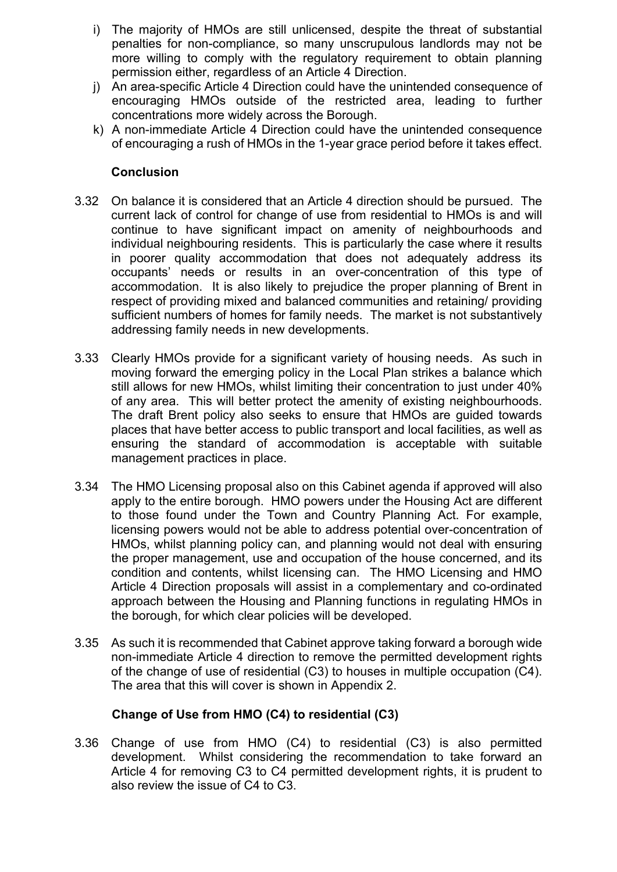- i) The majority of HMOs are still unlicensed, despite the threat of substantial penalties for non-compliance, so many unscrupulous landlords may not be more willing to comply with the regulatory requirement to obtain planning permission either, regardless of an Article 4 Direction.
- j) An area-specific Article 4 Direction could have the unintended consequence of encouraging HMOs outside of the restricted area, leading to further concentrations more widely across the Borough.
- k) A non-immediate Article 4 Direction could have the unintended consequence of encouraging a rush of HMOs in the 1-year grace period before it takes effect.

## **Conclusion**

- 3.32 On balance it is considered that an Article 4 direction should be pursued. The current lack of control for change of use from residential to HMOs is and will continue to have significant impact on amenity of neighbourhoods and individual neighbouring residents. This is particularly the case where it results in poorer quality accommodation that does not adequately address its occupants' needs or results in an over-concentration of this type of accommodation. It is also likely to prejudice the proper planning of Brent in respect of providing mixed and balanced communities and retaining/ providing sufficient numbers of homes for family needs. The market is not substantively addressing family needs in new developments.
- 3.33 Clearly HMOs provide for a significant variety of housing needs. As such in moving forward the emerging policy in the Local Plan strikes a balance which still allows for new HMOs, whilst limiting their concentration to just under 40% of any area. This will better protect the amenity of existing neighbourhoods. The draft Brent policy also seeks to ensure that HMOs are guided towards places that have better access to public transport and local facilities, as well as ensuring the standard of accommodation is acceptable with suitable management practices in place.
- 3.34 The HMO Licensing proposal also on this Cabinet agenda if approved will also apply to the entire borough. HMO powers under the Housing Act are different to those found under the Town and Country Planning Act. For example, licensing powers would not be able to address potential over-concentration of HMOs, whilst planning policy can, and planning would not deal with ensuring the proper management, use and occupation of the house concerned, and its condition and contents, whilst licensing can. The HMO Licensing and HMO Article 4 Direction proposals will assist in a complementary and co-ordinated approach between the Housing and Planning functions in regulating HMOs in the borough, for which clear policies will be developed.
- 3.35 As such it is recommended that Cabinet approve taking forward a borough wide non-immediate Article 4 direction to remove the permitted development rights of the change of use of residential (C3) to houses in multiple occupation (C4). The area that this will cover is shown in Appendix 2.

# **Change of Use from HMO (C4) to residential (C3)**

3.36 Change of use from HMO (C4) to residential (C3) is also permitted development. Whilst considering the recommendation to take forward an Article 4 for removing C3 to C4 permitted development rights, it is prudent to also review the issue of C4 to C3.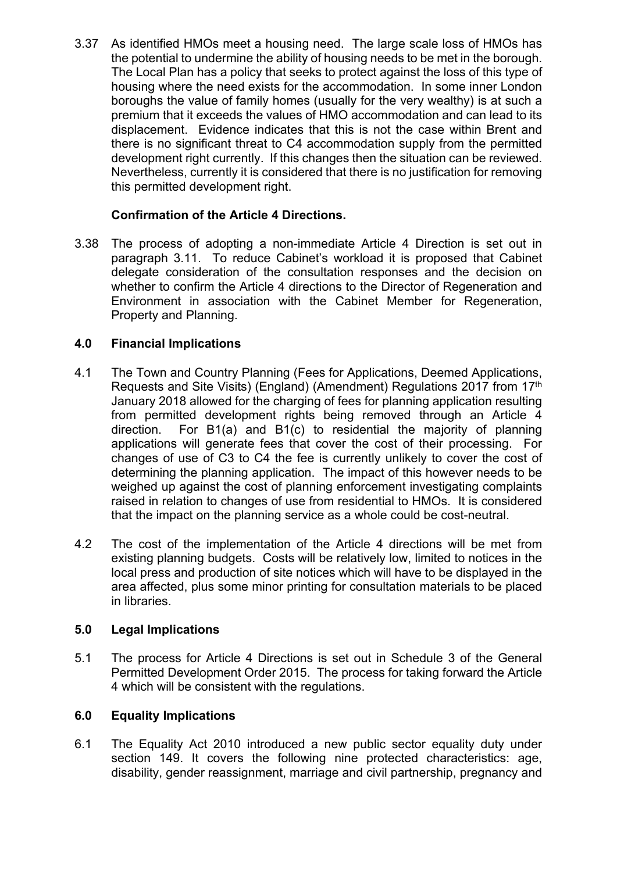3.37 As identified HMOs meet a housing need. The large scale loss of HMOs has the potential to undermine the ability of housing needs to be met in the borough. The Local Plan has a policy that seeks to protect against the loss of this type of housing where the need exists for the accommodation. In some inner London boroughs the value of family homes (usually for the very wealthy) is at such a premium that it exceeds the values of HMO accommodation and can lead to its displacement. Evidence indicates that this is not the case within Brent and there is no significant threat to C4 accommodation supply from the permitted development right currently. If this changes then the situation can be reviewed. Nevertheless, currently it is considered that there is no justification for removing this permitted development right.

# **Confirmation of the Article 4 Directions.**

3.38 The process of adopting a non-immediate Article 4 Direction is set out in paragraph 3.11. To reduce Cabinet's workload it is proposed that Cabinet delegate consideration of the consultation responses and the decision on whether to confirm the Article 4 directions to the Director of Regeneration and Environment in association with the Cabinet Member for Regeneration, Property and Planning.

# **4.0 Financial Implications**

- 4.1 The Town and Country Planning (Fees for Applications, Deemed Applications, Requests and Site Visits) (England) (Amendment) Regulations 2017 from 17th January 2018 allowed for the charging of fees for planning application resulting from permitted development rights being removed through an Article 4 direction. For B1(a) and B1(c) to residential the majority of planning applications will generate fees that cover the cost of their processing. For changes of use of C3 to C4 the fee is currently unlikely to cover the cost of determining the planning application. The impact of this however needs to be weighed up against the cost of planning enforcement investigating complaints raised in relation to changes of use from residential to HMOs. It is considered that the impact on the planning service as a whole could be cost-neutral.
- 4.2 The cost of the implementation of the Article 4 directions will be met from existing planning budgets. Costs will be relatively low, limited to notices in the local press and production of site notices which will have to be displayed in the area affected, plus some minor printing for consultation materials to be placed in libraries.

# **5.0 Legal Implications**

5.1 The process for Article 4 Directions is set out in Schedule 3 of the General Permitted Development Order 2015. The process for taking forward the Article 4 which will be consistent with the regulations.

# **6.0 Equality Implications**

6.1 The Equality Act 2010 introduced a new public sector equality duty under section 149. It covers the following nine protected characteristics: age, disability, gender reassignment, marriage and civil partnership, pregnancy and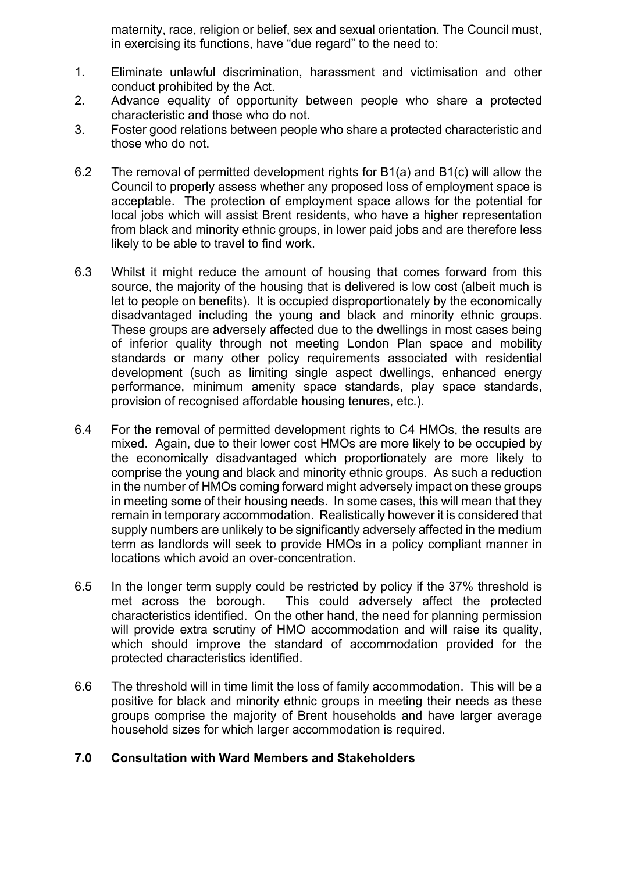maternity, race, religion or belief, sex and sexual orientation. The Council must, in exercising its functions, have "due regard" to the need to:

- 1. Eliminate unlawful discrimination, harassment and victimisation and other conduct prohibited by the Act.
- 2. Advance equality of opportunity between people who share a protected characteristic and those who do not.
- 3. Foster good relations between people who share a protected characteristic and those who do not.
- 6.2 The removal of permitted development rights for B1(a) and B1(c) will allow the Council to properly assess whether any proposed loss of employment space is acceptable. The protection of employment space allows for the potential for local jobs which will assist Brent residents, who have a higher representation from black and minority ethnic groups, in lower paid jobs and are therefore less likely to be able to travel to find work.
- 6.3 Whilst it might reduce the amount of housing that comes forward from this source, the majority of the housing that is delivered is low cost (albeit much is let to people on benefits). It is occupied disproportionately by the economically disadvantaged including the young and black and minority ethnic groups. These groups are adversely affected due to the dwellings in most cases being of inferior quality through not meeting London Plan space and mobility standards or many other policy requirements associated with residential development (such as limiting single aspect dwellings, enhanced energy performance, minimum amenity space standards, play space standards, provision of recognised affordable housing tenures, etc.).
- 6.4 For the removal of permitted development rights to C4 HMOs, the results are mixed. Again, due to their lower cost HMOs are more likely to be occupied by the economically disadvantaged which proportionately are more likely to comprise the young and black and minority ethnic groups. As such a reduction in the number of HMOs coming forward might adversely impact on these groups in meeting some of their housing needs. In some cases, this will mean that they remain in temporary accommodation. Realistically however it is considered that supply numbers are unlikely to be significantly adversely affected in the medium term as landlords will seek to provide HMOs in a policy compliant manner in locations which avoid an over-concentration.
- 6.5 In the longer term supply could be restricted by policy if the 37% threshold is met across the borough. This could adversely affect the protected characteristics identified. On the other hand, the need for planning permission will provide extra scrutiny of HMO accommodation and will raise its quality. which should improve the standard of accommodation provided for the protected characteristics identified.
- 6.6 The threshold will in time limit the loss of family accommodation. This will be a positive for black and minority ethnic groups in meeting their needs as these groups comprise the majority of Brent households and have larger average household sizes for which larger accommodation is required.

#### **7.0 Consultation with Ward Members and Stakeholders**